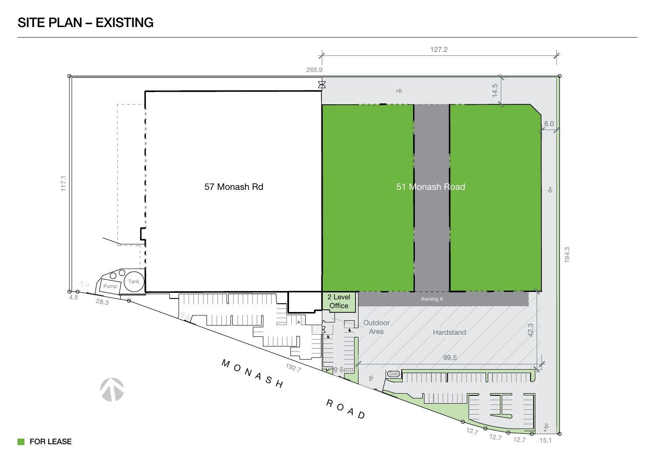# SITE PLAN – EXISTING



**FOR LEASE**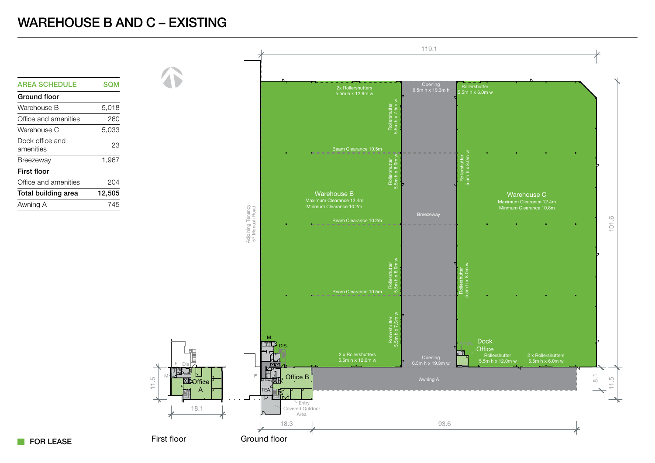### WAREHOUSE B AND C – EXISTING





#### **FOR LEASE**

First floor

M

11.5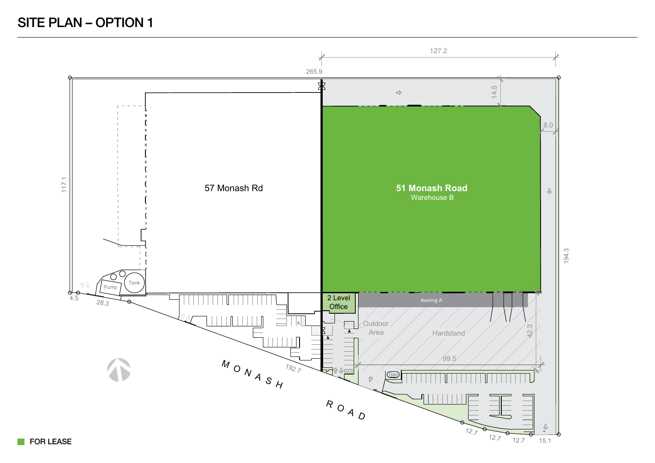# SITE PLAN – OPTION 1



**FOR LEASE**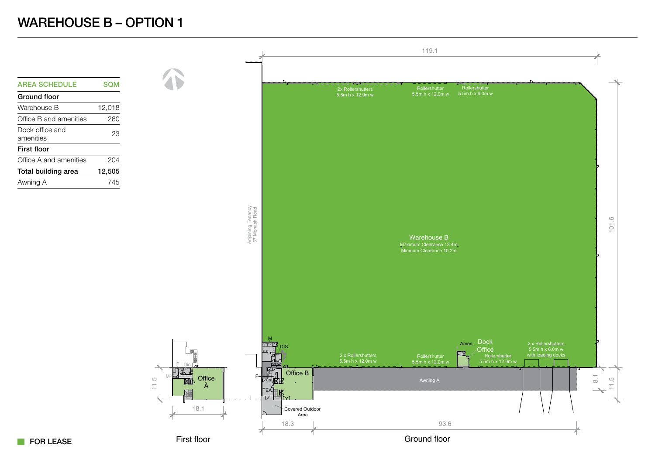## WAREHOUSE B – OPTION 1